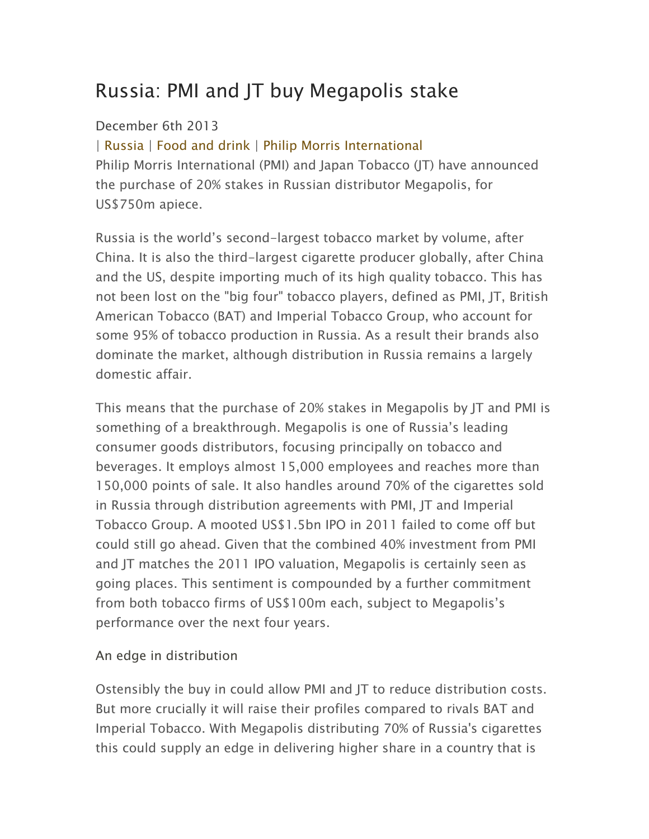# Russia: PMI and JT buy Megapolis stake

# December 6th 2013

| Russia | Food and drink | Philip Morris International Philip Morris International (PMI) and Japan Tobacco (JT) have announced the purchase of 20% stakes in Russian distributor Megapolis, for US\$750m apiece.

Russia is the world's second-largest tobacco market by volume, after China. It is also the third-largest cigarette producer globally, after China and the US, despite importing much of its high quality tobacco. This has not been lost on the "big four" tobacco players, defined as PMI, JT, British American Tobacco (BAT) and Imperial Tobacco Group, who account for some 95% of tobacco production in Russia. As a result their brands also dominate the market, although distribution in Russia remains a largely domestic affair.

This means that the purchase of 20% stakes in Megapolis by JT and PMI is something of a breakthrough. Megapolis is one of Russia's leading consumer goods distributors, focusing principally on tobacco and beverages. It employs almost 15,000 employees and reaches more than 150,000 points of sale. It also handles around 70% of the cigarettes sold in Russia through distribution agreements with PMI, JT and Imperial Tobacco Group. A mooted US\$1.5bn IPO in 2011 failed to come off but could still go ahead. Given that the combined 40% investment from PMI and JT matches the 2011 IPO valuation, Megapolis is certainly seen as going places. This sentiment is compounded by a further commitment from both tobacco firms of US\$100m each, subject to Megapolis's performance over the next four years.

### An edge in distribution

Ostensibly the buy in could allow PMI and JT to reduce distribution costs. But more crucially it will raise their profiles compared to rivals BAT and Imperial Tobacco. With Megapolis distributing 70% of Russia's cigarettes this could supply an edge in delivering higher share in a country that is